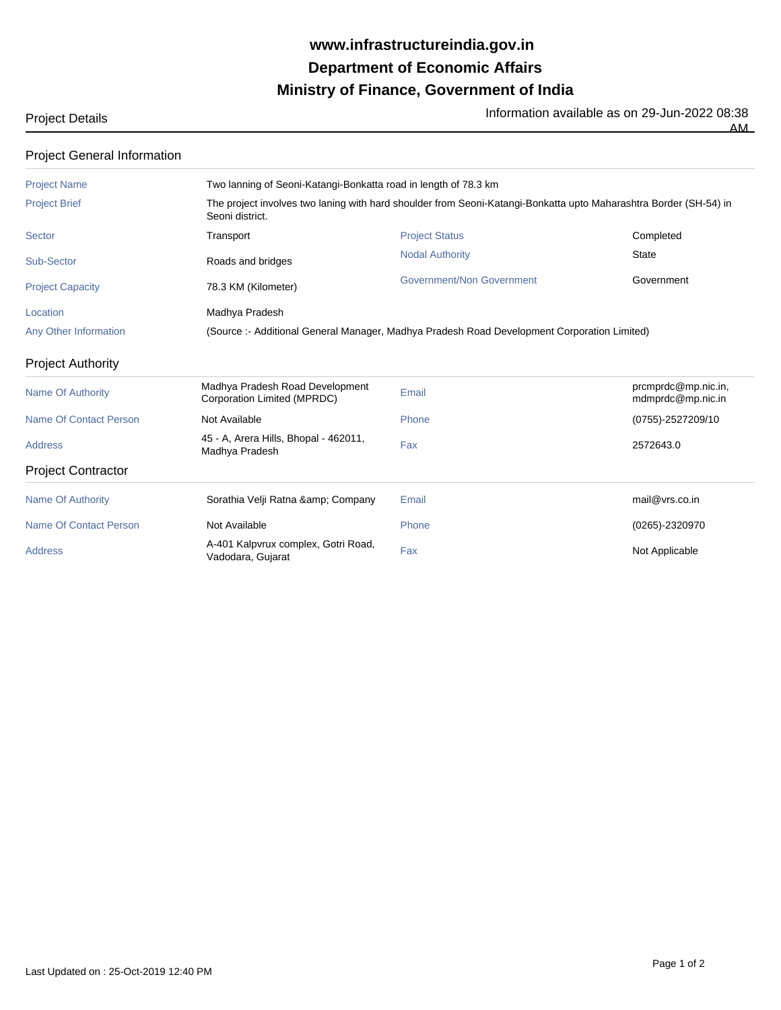## **Ministry of Finance, Government of India Department of Economic Affairs www.infrastructureindia.gov.in**

Project Details **Information available as on 29-Jun-2022 08:38** AM

| <b>Project General Information</b> |                                                                                                                                      |                                  |                                          |  |  |  |
|------------------------------------|--------------------------------------------------------------------------------------------------------------------------------------|----------------------------------|------------------------------------------|--|--|--|
| <b>Project Name</b>                | Two lanning of Seoni-Katangi-Bonkatta road in length of 78.3 km                                                                      |                                  |                                          |  |  |  |
| <b>Project Brief</b>               | The project involves two laning with hard shoulder from Seoni-Katangi-Bonkatta upto Maharashtra Border (SH-54) in<br>Seoni district. |                                  |                                          |  |  |  |
| <b>Sector</b>                      | Transport                                                                                                                            | <b>Project Status</b>            | Completed                                |  |  |  |
| Sub-Sector                         | Roads and bridges                                                                                                                    | <b>Nodal Authority</b>           | <b>State</b>                             |  |  |  |
| <b>Project Capacity</b>            | 78.3 KM (Kilometer)                                                                                                                  | <b>Government/Non Government</b> | Government                               |  |  |  |
| Location                           | Madhya Pradesh                                                                                                                       |                                  |                                          |  |  |  |
| <b>Any Other Information</b>       | (Source :- Additional General Manager, Madhya Pradesh Road Development Corporation Limited)                                          |                                  |                                          |  |  |  |
| <b>Project Authority</b>           |                                                                                                                                      |                                  |                                          |  |  |  |
| <b>Name Of Authority</b>           | Madhya Pradesh Road Development<br>Corporation Limited (MPRDC)                                                                       | Email                            | prcmprdc@mp.nic.in,<br>mdmprdc@mp.nic.in |  |  |  |
| <b>Name Of Contact Person</b>      | Not Available                                                                                                                        | Phone                            | (0755)-2527209/10                        |  |  |  |
| <b>Address</b>                     | 45 - A, Arera Hills, Bhopal - 462011,<br>Madhya Pradesh                                                                              | Fax                              | 2572643.0                                |  |  |  |
| <b>Project Contractor</b>          |                                                                                                                                      |                                  |                                          |  |  |  |
| <b>Name Of Authority</b>           | Sorathia Velji Ratna & Company                                                                                                       | Email                            | mail@vrs.co.in                           |  |  |  |
| Name Of Contact Person             | Not Available                                                                                                                        | Phone                            | (0265)-2320970                           |  |  |  |
| <b>Address</b>                     | A-401 Kalpvrux complex, Gotri Road,<br>Vadodara, Gujarat                                                                             | Fax                              | Not Applicable                           |  |  |  |